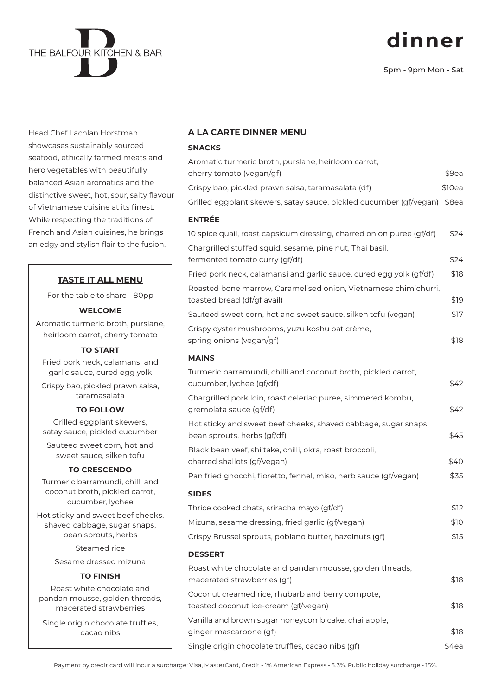# **dinner**

5pm - 9pm Mon - Sat

Head Chef Lachlan Horstman showcases sustainably sourced seafood, ethically farmed meats and hero vegetables with beautifully balanced Asian aromatics and the distinctive sweet, hot, sour, salty flavour of Vietnamese cuisine at its finest. While respecting the traditions of French and Asian cuisines, he brings an edgy and stylish flair to the fusion.

## **TASTE IT ALL MENU**

For the table to share - 80pp

#### **WELCOME**

Aromatic turmeric broth, purslane, heirloom carrot, cherry tomato

#### **TO START**

Fried pork neck, calamansi and garlic sauce, cured egg yolk

Crispy bao, pickled prawn salsa, taramasalata

#### **TO FOLLOW**

Grilled eggplant skewers, satay sauce, pickled cucumber

Sauteed sweet corn, hot and sweet sauce, silken tofu

#### **TO CRESCENDO**

Turmeric barramundi, chilli and coconut broth, pickled carrot, cucumber, lychee

Hot sticky and sweet beef cheeks, shaved cabbage, sugar snaps, bean sprouts, herbs

Steamed rice

Sesame dressed mizuna

## **TO FINISH**

Roast white chocolate and pandan mousse, golden threads, macerated strawberries

Single origin chocolate truffles. cacao nibs

#### **A LA CARTE DINNER MENU**

### **SNACKS**

| Aromatic turmeric broth, purslane, heirloom carrot,<br>cherry tomato (vegan/gf)                | \$9ea   |
|------------------------------------------------------------------------------------------------|---------|
| Crispy bao, pickled prawn salsa, taramasalata (df)                                             | \$10ea  |
| Grilled eggplant skewers, satay sauce, pickled cucumber (gf/vegan)                             | $$8$ ea |
| <b>ENTRÉE</b>                                                                                  |         |
| 10 spice quail, roast capsicum dressing, charred onion puree (gf/df)                           | \$24    |
| Chargrilled stuffed squid, sesame, pine nut, Thai basil,<br>fermented tomato curry (gf/df)     | \$24    |
| Fried pork neck, calamansi and garlic sauce, cured egg yolk (gf/df)                            | \$18    |
| Roasted bone marrow, Caramelised onion, Vietnamese chimichurri,<br>toasted bread (df/gf avail) | \$19    |
| Sauteed sweet corn, hot and sweet sauce, silken tofu (vegan)                                   | \$17    |
| Crispy oyster mushrooms, yuzu koshu oat crème,<br>spring onions (vegan/gf)                     | \$18    |
| <b>MAINS</b>                                                                                   |         |
| Turmeric barramundi, chilli and coconut broth, pickled carrot,<br>cucumber, lychee (gf/df)     | \$42    |
| Chargrilled pork loin, roast celeriac puree, simmered kombu,<br>gremolata sauce (gf/df)        | \$42    |
| Hot sticky and sweet beef cheeks, shaved cabbage, sugar snaps,<br>bean sprouts, herbs (gf/df)  | \$45    |
| Black bean veef, shiitake, chilli, okra, roast broccoli,<br>charred shallots (gf/vegan)        | \$40    |
| Pan fried gnocchi, fioretto, fennel, miso, herb sauce (gf/vegan)                               | \$35    |
| <b>SIDES</b>                                                                                   |         |
| Thrice cooked chats, sriracha mayo (gf/df)                                                     | \$12    |
| Mizuna, sesame dressing, fried garlic (gf/vegan)                                               | \$10    |
| Crispy Brussel sprouts, poblano butter, hazelnuts (gf)                                         | \$15    |
| <b>DESSERT</b>                                                                                 |         |
| Roast white chocolate and pandan mousse, golden threads,<br>macerated strawberries (gf)        | \$18    |
| Coconut creamed rice, rhubarb and berry compote,<br>toasted coconut ice-cream (gf/vegan)       | \$18    |
| Vanilla and brown sugar honeycomb cake, chai apple,<br>ginger mascarpone (gf)                  | \$18    |
| Single origin chocolate truffles, cacao nibs (gf)                                              | \$4ea   |

Payment by credit card will incur a surcharge: Visa, MasterCard, Credit - 1% American Express - 3.3%. Public holiday surcharge - 15%.

| THE BALFOUR KITCHEN & BAR |  |
|---------------------------|--|
|                           |  |